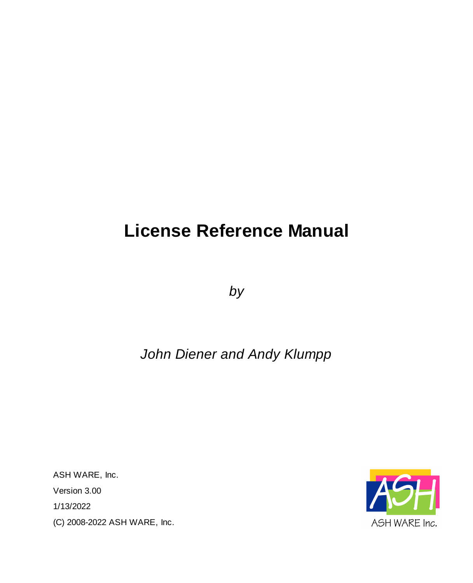# **License Reference Manual**

*by*

# *John Diener and Andy Klumpp*

ASH WARE, Inc. Version 3.00 1/13/2022 (C) 2008-2022 ASH WARE, Inc.

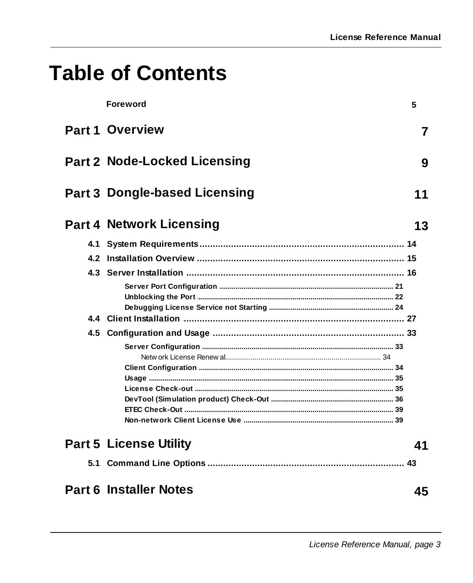# **Table of Contents**

| <b>Foreword</b>                      | 5  |
|--------------------------------------|----|
| <b>Part 1 Overview</b>               | 7  |
| <b>Part 2 Node-Locked Licensing</b>  | 9  |
| <b>Part 3 Dongle-based Licensing</b> | 11 |
| <b>Part 4 Network Licensing</b>      | 13 |
|                                      |    |
|                                      |    |
|                                      |    |
|                                      |    |
|                                      |    |
|                                      |    |
|                                      |    |
|                                      |    |
|                                      |    |
|                                      |    |
|                                      |    |
|                                      |    |
|                                      |    |
|                                      |    |
|                                      |    |
| <b>Part 5 License Utility</b>        | 41 |
|                                      |    |
| <b>Part 6 Installer Notes</b>        | 45 |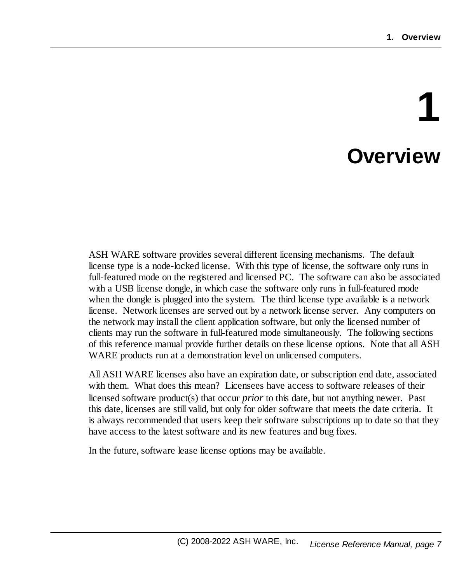# **1 Overview**

<span id="page-6-0"></span>ASH WARE software provides several different licensing mechanisms. The default license type is a node-locked license. With this type of license, the software only runs in full-featured mode on the registered and licensed PC. The software can also be associated with a USB license dongle, in which case the software only runs in full-featured mode when the dongle is plugged into the system. The third license type available is a network license. Network licenses are served out by a network license server. Any computers on the network may install the client application software, but only the licensed number of clients may run the software in full-featured mode simultaneously. The following sections of this reference manual provide further details on these license options. Note that all ASH WARE products run at a demonstration level on unlicensed computers.

All ASH WARE licenses also have an expiration date, or subscription end date, associated with them. What does this mean? Licensees have access to software releases of their licensed software product(s) that occur *prior* to this date, but not anything newer. Past this date, licenses are still valid, but only for older software that meets the date criteria. It is always recommended that users keep their software subscriptions up to date so that they have access to the latest software and its new features and bug fixes.

In the future, software lease license options may be available.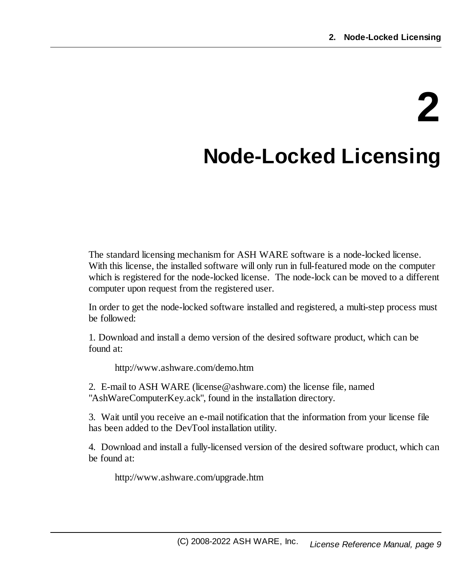# **2**

# <span id="page-8-0"></span>**Node-Locked Licensing**

The standard licensing mechanism for ASH WARE software is a node-locked license. With this license, the installed software will only run in full-featured mode on the computer which is registered for the node-locked license. The node-lock can be moved to a different computer upon request from the registered user.

In order to get the node-locked software installed and registered, a multi-step process must be followed:

1. Download and install a demo version of the desired software product, which can be found at:

http://www.ashware.com/demo.htm

2. E-mail to ASH WARE (license@ashware.com) the license file, named "AshWareComputerKey.ack", found in the installation directory.

3. Wait until you receive an e-mail notification that the information from your license file has been added to the DevTool installation utility.

4. Download and install a fully-licensed version of the desired software product, which can be found at:

http://www.ashware.com/upgrade.htm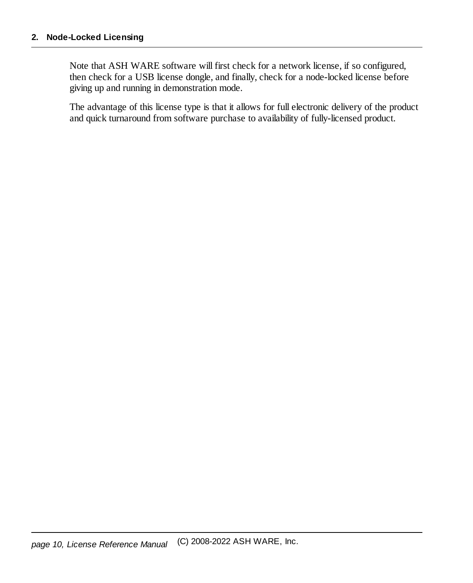Note that ASH WARE software will first check for a network license, if so configured, then check for a USB license dongle, and finally, check for a node-locked license before giving up and running in demonstration mode.

The advantage of this license type is that it allows for full electronic delivery of the product and quick turnaround from software purchase to availability of fully-licensed product.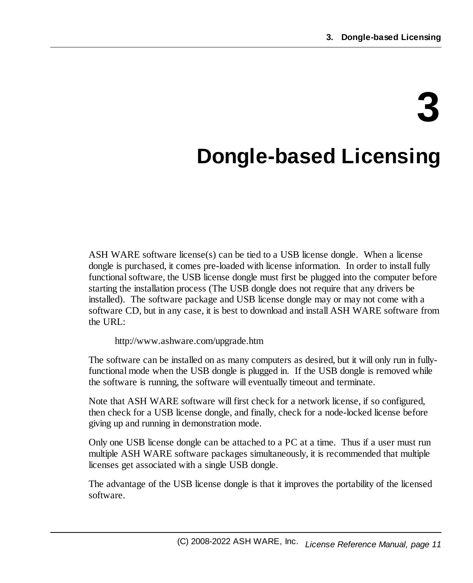# **3**

# <span id="page-10-0"></span>**Dongle-based Licensing**

ASH WARE software license(s) can be tied to a USB license dongle. When a license dongle is purchased, it comes pre-loaded with license information. In order to install fully functional software, the USB license dongle must first be plugged into the computer before starting the installation process (The USB dongle does not require that any drivers be installed). The software package and USB license dongle may or may not come with a software CD, but in any case, it is best to download and install ASH WARE software from the URL:

http://www.ashware.com/upgrade.htm

The software can be installed on as many computers as desired, but it will only run in fullyfunctional mode when the USB dongle is plugged in. If the USB dongle is removed while the software is running, the software will eventually timeout and terminate.

Note that ASH WARE software will first check for a network license, if so configured, then check for a USB license dongle, and finally, check for a node-locked license before giving up and running in demonstration mode.

Only one USB license dongle can be attached to a PC at a time. Thus if a user must run multiple ASH WARE software packages simultaneously, it is recommended that multiple licenses get associated with a single USB dongle.

The advantage of the USB license dongle is that it improves the portability of the licensed software.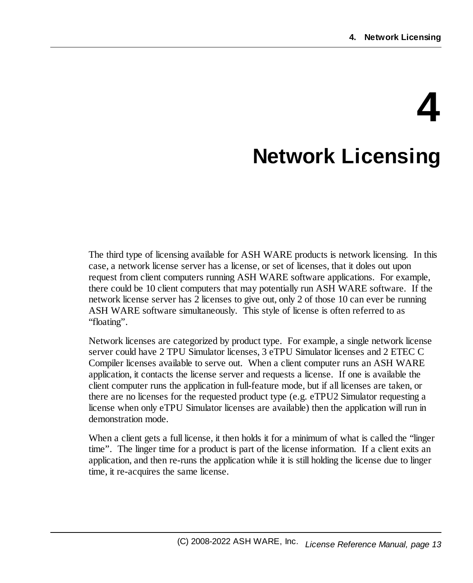# **4 Network Licensing**

<span id="page-12-0"></span>The third type of licensing available for ASH WARE products is network licensing. In this case, a network license server has a license, or set of licenses, that it doles out upon request from client computers running ASH WARE software applications. For example, there could be 10 client computers that may potentially run ASH WARE software. If the network license server has 2 licenses to give out, only 2 of those 10 can ever be running ASH WARE software simultaneously. This style of license is often referred to as "floating".

Network licenses are categorized by product type. For example, a single network license server could have 2 TPU Simulator licenses, 3 eTPU Simulator licenses and 2 ETEC C Compiler licenses available to serve out. When a client computer runs an ASH WARE application, it contacts the license server and requests a license. If one is available the client computer runs the application in full-feature mode, but if all licenses are taken, or there are no licenses for the requested product type (e.g. eTPU2 Simulator requesting a license when only eTPU Simulator licenses are available) then the application will run in demonstration mode.

When a client gets a full license, it then holds it for a minimum of what is called the "linger" time". The linger time for a product is part of the license information. If a client exits an application, and then re-runs the application while it is still holding the license due to linger time, it re-acquires the same license.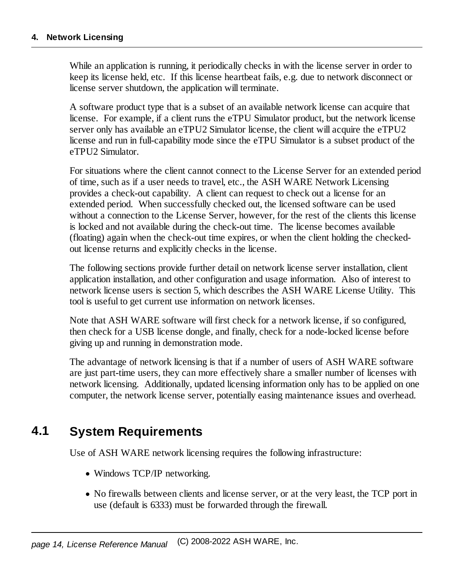While an application is running, it periodically checks in with the license server in order to keep its license held, etc. If this license heartbeat fails, e.g. due to network disconnect or license server shutdown, the application will terminate.

A software product type that is a subset of an available network license can acquire that license. For example, if a client runs the eTPU Simulator product, but the network license server only has available an eTPU2 Simulator license, the client will acquire the eTPU2 license and run in full-capability mode since the eTPU Simulator is a subset product of the eTPU2 Simulator.

For situations where the client cannot connect to the License Server for an extended period of time, such as if a user needs to travel, etc., the ASH WARE Network Licensing provides a check-out capability. A client can request to check out a license for an extended period. When successfully checked out, the licensed software can be used without a connection to the License Server, however, for the rest of the clients this license is locked and not available during the check-out time. The license becomes available (floating) again when the check-out time expires, or when the client holding the checkedout license returns and explicitly checks in the license.

The following sections provide further detail on network license server installation, client application installation, and other configuration and usage information. Also of interest to network license users is section 5, which describes the ASH WARE License Utility. This tool is useful to get current use information on network licenses.

Note that ASH WARE software will first check for a network license, if so configured, then check for a USB license dongle, and finally, check for a node-locked license before giving up and running in demonstration mode.

The advantage of network licensing is that if a number of users of ASH WARE software are just part-time users, they can more effectively share a smaller number of licenses with network licensing. Additionally, updated licensing information only has to be applied on one computer, the network license server, potentially easing maintenance issues and overhead.

# <span id="page-13-0"></span>**4.1 System Requirements**

Use of ASH WARE network licensing requires the following infrastructure:

- · Windows TCP/IP networking.
- · No firewalls between clients and license server, or at the very least, the TCP port in use (default is 6333) must be forwarded through the firewall.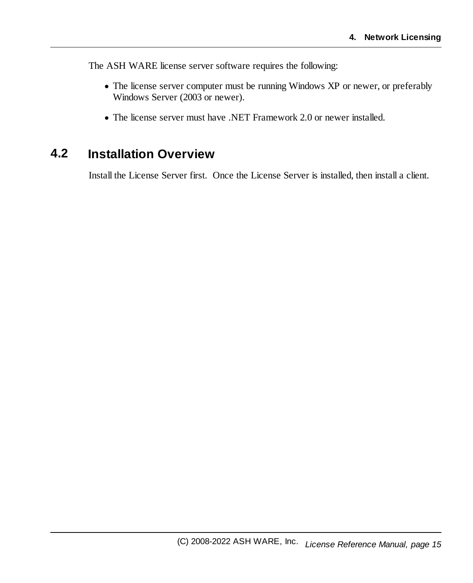The ASH WARE license server software requires the following:

- · The license server computer must be running Windows XP or newer, or preferably Windows Server (2003 or newer).
- · The license server must have .NET Framework 2.0 or newer installed.

# <span id="page-14-0"></span>**4.2 Installation Overview**

Install the License Server first. Once the License Server is installed, then install a client.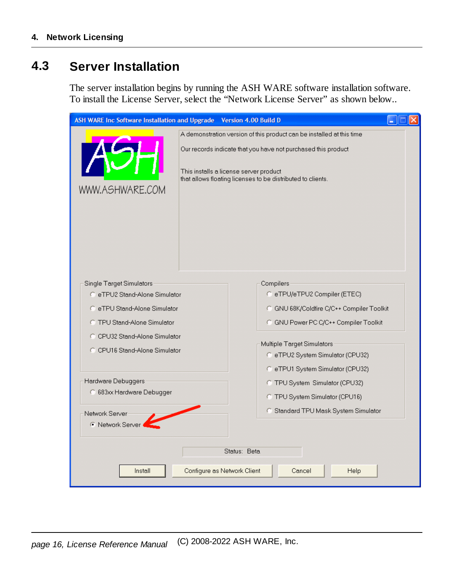# <span id="page-15-0"></span>**4.3 Server Installation**

The server installation begins by running the ASH WARE software installation software. To install the License Server, select the "Network License Server" as shown below..

| ASH WARE Inc Software Installation and Upgrade Version 4.00 Build D |                                                               |                                                                                                       |  |  |
|---------------------------------------------------------------------|---------------------------------------------------------------|-------------------------------------------------------------------------------------------------------|--|--|
|                                                                     |                                                               | A demonstration version of this product can be installed at this time                                 |  |  |
|                                                                     | Our records indicate that you have not purchased this product |                                                                                                       |  |  |
| WWW.ASHWARE.COM                                                     |                                                               | This installs a license server product<br>that allows floating licenses to be distributed to clients. |  |  |
|                                                                     |                                                               |                                                                                                       |  |  |
|                                                                     |                                                               |                                                                                                       |  |  |
|                                                                     |                                                               |                                                                                                       |  |  |
|                                                                     |                                                               |                                                                                                       |  |  |
|                                                                     |                                                               |                                                                                                       |  |  |
|                                                                     |                                                               |                                                                                                       |  |  |
| <b>Single Target Simulators</b>                                     |                                                               | Compilers                                                                                             |  |  |
| C eTPU2 Stand-Alone Simulator                                       |                                                               | C eTPU/eTPU2 Compiler (ETEC)                                                                          |  |  |
| C eTPU Stand-Alone Simulator                                        |                                                               | C GNU 68K/Coldfire C/C++ Compiler Toolkit                                                             |  |  |
| <b>C</b> TPU Stand-Alone Simulator                                  |                                                               | C GNU Power PC C/C++ Compiler Toolkit                                                                 |  |  |
| C CPU32 Stand-Alone Simulator                                       |                                                               |                                                                                                       |  |  |
| C CPU16 Stand-Alone Simulator                                       |                                                               | Multiple Target Simulators<br>C eTPU2 System Simulator (CPU32)                                        |  |  |
|                                                                     |                                                               |                                                                                                       |  |  |
|                                                                     |                                                               | C eTPU1 System Simulator (CPU32)                                                                      |  |  |
| Hardware Debuggers                                                  |                                                               | C TPU System Simulator (CPU32)                                                                        |  |  |
| 683x Hardware Debugger                                              |                                                               | C TPU System Simulator (CPU16)                                                                        |  |  |
| Network Server                                                      |                                                               | C Standard TPU Mask System Simulator                                                                  |  |  |
| <b>6</b> Network Server                                             |                                                               |                                                                                                       |  |  |
|                                                                     |                                                               |                                                                                                       |  |  |
|                                                                     |                                                               | Status: Beta                                                                                          |  |  |
| Install                                                             |                                                               | Configure as Network Client<br>Cancel<br>Help                                                         |  |  |
|                                                                     |                                                               |                                                                                                       |  |  |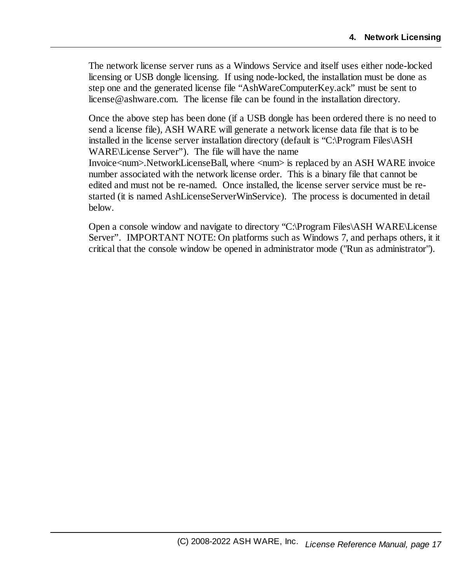The network license server runs as a Windows Service and itself uses either node-locked licensing or USB dongle licensing. If using node-locked, the installation must be done as step one and the generated license file "AshWareComputerKey.ack" must be sent to license@ashware.com. The license file can be found in the installation directory.

Once the above step has been done (if a USB dongle has been ordered there is no need to send a license file), ASH WARE will generate a network license data file that is to be installed in the license server installation directory (default is "C:\Program Files\ASH WARE\License Server"). The file will have the name Invoice<num>.NetworkLicenseBall, where <num> is replaced by an ASH WARE invoice

number associated with the network license order. This is a binary file that cannot be edited and must not be re-named. Once installed, the license server service must be restarted (it is named AshLicenseServerWinService). The process is documented in detail below.

Open a console window and navigate to directory "C:\Program Files\ASH WARE\License Server". IMPORTANT NOTE: On platforms such as Windows 7, and perhaps others, it it critical that the console window be opened in administrator mode ("Run as administrator").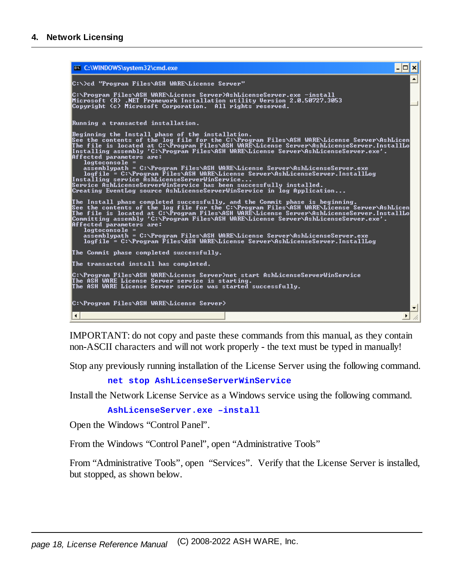

IMPORTANT: do not copy and paste these commands from this manual, as they contain non-ASCII characters and will not work properly - the text must be typed in manually!

Stop any previously running installation of the License Server using the following command.

**net stop AshLicenseServerWinService**

Install the Network License Service as a Windows service using the following command.

**AshLicenseServer.exe –install**

Open the Windows "Control Panel".

From the Windows "Control Panel", open "Administrative Tools"

From "Administrative Tools", open "Services". Verify that the License Server is installed, but stopped, as shown below.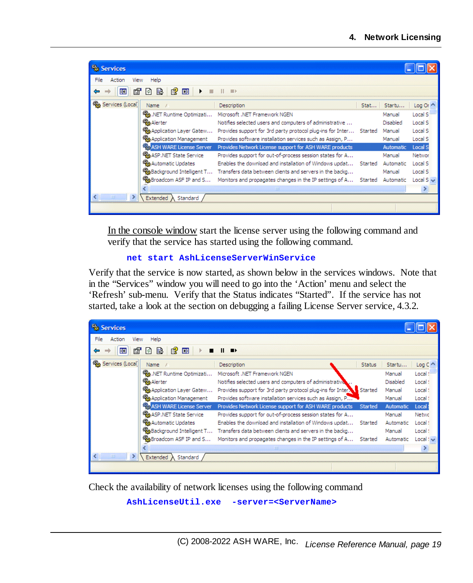| Services               |                              |                                                                          |      |           |                |
|------------------------|------------------------------|--------------------------------------------------------------------------|------|-----------|----------------|
| File<br>Action<br>View | Help                         |                                                                          |      |           |                |
| 图<br>晒<br>دە           | Р₹<br><b>DB</b><br>追<br>I۱   | <b>HI</b>                                                                |      |           |                |
| Services (Local)       | Name                         | Description                                                              | Stat | Startu    | Log Or ^       |
|                        | % .NET Runtime Optimizati    | Microsoft .NET Framework NGEN                                            |      | Manual    | Local S        |
|                        | %Ba Alerter                  | Notifies selected users and computers of administrative                  |      | Disabled  | Local S        |
|                        | Application Layer Gatew      | Provides support for 3rd party protocol plug-ins for Inter Started       |      | Manual    | Local S        |
|                        | %Application Management      | Provides software installation services such as Assign, P                |      | Manual    | Local S        |
|                        | ASH WARE License Server      | Provides Network License support for ASH WARE products                   |      | Automatic | Local S        |
|                        | %ASP.NET State Service       | Provides support for out-of-process session states for A                 |      | Manual    | Networ         |
|                        | <b>Ska</b> Automatic Updates | Enables the download and installation of Windows updat Started Automatic |      |           | Local S        |
|                        | %Background Intelligent T    | Transfers data between clients and servers in the backg                  |      | Manual    | Local S        |
|                        | %ABroadcom ASF IP and S      | Monitors and propagates changes in the IP settings of A Started          |      | Automatic | Local S $\vee$ |
|                        |                              | Ш                                                                        |      |           |                |
| HH                     | Extended \ Standard /        |                                                                          |      |           |                |
|                        |                              |                                                                          |      |           |                |

In the console window start the license server using the following command and verify that the service has started using the following command.

```
net start AshLicenseServerWinService
```
Verify that the service is now started, as shown below in the services windows. Note that in the "Services" window you will need to go into the 'Action' menu and select the 'Refresh' sub-menu. Verify that the Status indicates "Started". If the service has not started, take a look at the section on debugging a failing License Server service, 4.3.2.

| Services               |                                        |                                                                     |               |           |               |
|------------------------|----------------------------------------|---------------------------------------------------------------------|---------------|-----------|---------------|
| File<br>Action<br>View | Help                                   |                                                                     |               |           |               |
| 图<br>⇚<br>盯            | €<br>B<br>圃<br>$\vert \phi \vert$      | $\mathbf{u}$<br>$\blacksquare$                                      |               |           |               |
| Services (Local)       | Name                                   | Description                                                         | <b>Status</b> | Startu    | $Log C^*$     |
|                        | Sta .NET Runtime Optimizati            | Microsoft .NET Framework NGEN                                       |               | Manual    | Local!"       |
|                        | <b>Rea Alerter</b>                     | Notifies selected users and computers of administrative             |               | Disabled  | Local!        |
|                        | Sta Application Layer Gatew            | Provides support for 3rd party protocol plug-ins for Inter. Started |               | Manual    | Local!        |
|                        | <b>SEA</b> Application Management      | Provides software installation services such as Assign, P           |               | Manual    | Local!        |
|                        | <b>Sta ASH WARE License Server</b>     | Provides Network License support for ASH WARE products              | Started       | Automatic | Local:        |
|                        | <b>Rea ASP .NET State Service</b>      | Provides support for out-of-process session states for A            |               | Manual    | Netwo         |
|                        | <sup>6</sup> Automatic Updates         | Enables the download and installation of Windows updat              | Started       | Automatic | Local!        |
|                        | <sup>68</sup> Background Intelligent T | Transfers data between clients and servers in the backg             |               | Manual    | Local!        |
|                        | <sup>6</sup> Broadcom ASF IP and S     | Monitors and propagates changes in the IP settings of A             | Started       | Automatic | $Local! \vee$ |
|                        |                                        | $\sim 100$                                                          |               |           |               |
| <b>THE</b>             | Extended A Standard                    |                                                                     |               |           |               |
|                        |                                        |                                                                     |               |           |               |

Check the availability of network licenses using the following command

**AshLicenseUtil.exe -server=<ServerName>**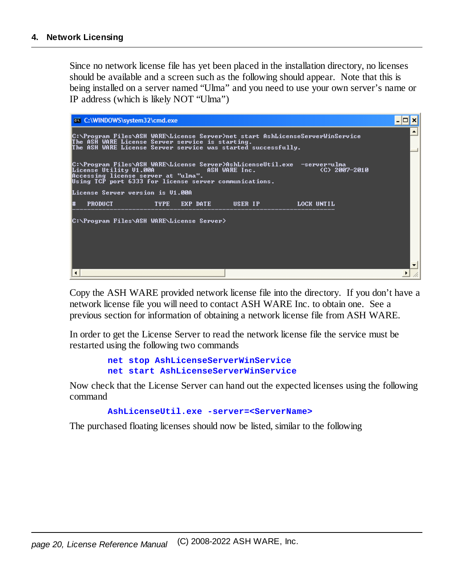Since no network license file has yet been placed in the installation directory, no licenses should be available and a screen such as the following should appear. Note that this is being installed on a server named "Ulma" and you need to use your own server's name or IP address (which is likely NOT "Ulma")

| <b>ex</b> C:\WINDOWS\system32\cmd.exe                                                                                                                                                                |  |
|------------------------------------------------------------------------------------------------------------------------------------------------------------------------------------------------------|--|
| C:\Program Files\ASH WARE\License Server>net start AshLicenseServerWinService<br>The ASH WARE License Server service is starting.<br>The ASH WARE License Server service was started successfully.   |  |
| C:\Program Files\ASH WARE\License Server>AshLicenseUtil.exe  —server=ulma<br>License Utility V1.00A<br>Accessing license server at "ulma".<br>Using TCP port 6333 for license server communications. |  |
| License Server version is V1.00A                                                                                                                                                                     |  |
| <b>PRODUCT</b><br><b>EXP DATE WER IP A LOCK UNTIL</b><br>l#                                                                                                                                          |  |
| C:\Program Files\ASH WARE\License Server>                                                                                                                                                            |  |

Copy the ASH WARE provided network license file into the directory. If you don't have a network license file you will need to contact ASH WARE Inc. to obtain one. See a previous section for information of obtaining a network license file from ASH WARE.

In order to get the License Server to read the network license file the service must be restarted using the following two commands

> **net stop AshLicenseServerWinService net start AshLicenseServerWinService**

Now check that the License Server can hand out the expected licenses using the following command

#### **AshLicenseUtil.exe -server=<ServerName>**

The purchased floating licenses should now be listed, similar to the following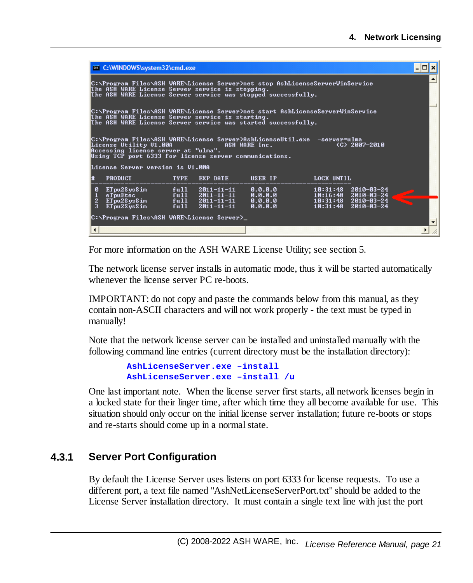|                                                                                                                                                                                                   | <b>ex</b> C:\WINDOWS\system32\cmd.exe                                                                                                                                                                                                         |              |                                                                |                                          |                      |                                                                                          |  |  |  |
|---------------------------------------------------------------------------------------------------------------------------------------------------------------------------------------------------|-----------------------------------------------------------------------------------------------------------------------------------------------------------------------------------------------------------------------------------------------|--------------|----------------------------------------------------------------|------------------------------------------|----------------------|------------------------------------------------------------------------------------------|--|--|--|
| C:\Program Files\ASH WARE\License Server>net stop AshLicenseServerWinService<br>The ASH WARE License Server service is stopping.<br>The ASH WARE License Server service was stopped successfully. |                                                                                                                                                                                                                                               |              |                                                                |                                          |                      |                                                                                          |  |  |  |
|                                                                                                                                                                                                   | C:\Program Files\ASH WARE\License Server>net start AshLicenseServerWinService<br>The ASH WARE License Server service is starting.<br>The ASH WARE License Server service was started successfully.                                            |              |                                                                |                                          |                      |                                                                                          |  |  |  |
|                                                                                                                                                                                                   | C:\Program Files\ASH WARE\License Server>AshLicenseUtil.exe  —server=ulma<br>License Utility U1.00A<br>Accessing license server at "ulma".<br><b>ASH WARE Inc.</b><br>(C) 2007-2010<br>Using TCP port 6333 for license server communications. |              |                                                                |                                          |                      |                                                                                          |  |  |  |
|                                                                                                                                                                                                   | License Server version is U1.00A                                                                                                                                                                                                              |              |                                                                |                                          |                      |                                                                                          |  |  |  |
|                                                                                                                                                                                                   | <b>PRODUCT</b>                                                                                                                                                                                                                                | <b>TYPE</b>  | EXP DATE                                                       | USER IP                                  | LOCK UNTIL           |                                                                                          |  |  |  |
| ø<br>$\mathbf{z}$<br>$\mathbf{a}$                                                                                                                                                                 | ETpu2SysSim<br>eTpuEtec<br>ETwo2S <sub>vs</sub> Sim<br>ETpu2SysSim                                                                                                                                                                            | ful1<br>ful1 | 2011-11-11<br>full 2011-11-11<br>full 2011-11-11<br>2011-11-11 | 0.0.0.0<br>0.0.0.0<br>0.0.0.0<br>0.0.0.0 | 10:31:48<br>10:31:48 | $2010 - 03 - 24$<br>$10:16:48$ 2010-03-24<br>$10:31:48$ $2010-03-24$<br>$2010 - 03 - 24$ |  |  |  |
|                                                                                                                                                                                                   | C:\Program Files\ASH WARE\License Server>_                                                                                                                                                                                                    |              |                                                                |                                          |                      |                                                                                          |  |  |  |

For more information on the ASH WARE License Utility; see section 5.

The network license server installs in automatic mode, thus it will be started automatically whenever the license server PC re-boots.

IMPORTANT: do not copy and paste the commands below from this manual, as they contain non-ASCII characters and will not work properly - the text must be typed in manually!

Note that the network license server can be installed and uninstalled manually with the following command line entries (current directory must be the installation directory):

> **AshLicenseServer.exe –install AshLicenseServer.exe –install /u**

One last important note. When the license server first starts, all network licenses begin in a locked state for their linger time, after which time they all become available for use. This situation should only occur on the initial license server installation; future re-boots or stops and re-starts should come up in a normal state.

## <span id="page-20-0"></span>**4.3.1 Server Port Configuration**

By default the License Server uses listens on port 6333 for license requests. To use a different port, a text file named "AshNetLicenseServerPort.txt" should be added to the License Server installation directory. It must contain a single text line with just the port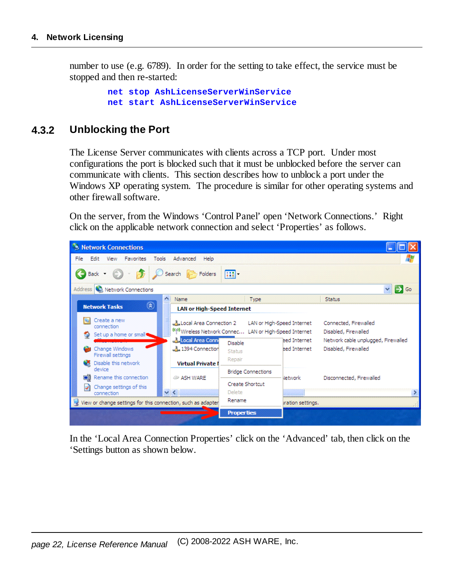number to use (e.g. 6789). In order for the setting to take effect, the service must be stopped and then re-started:

```
net stop AshLicenseServerWinService
net start AshLicenseServerWinService
```
### <span id="page-21-0"></span>**4.3.2 Unblocking the Port**

The License Server communicates with clients across a TCP port. Under most configurations the port is blocked such that it must be unblocked before the server can communicate with clients. This section describes how to unblock a port under the Windows XP operating system. The procedure is similar for other operating systems and other firewallsoftware.

On the server, from the Windows 'Control Panel' open 'Network Connections.' Right click on the applicable network connection and select 'Properties' as follows.



In the 'Local Area Connection Properties' click on the 'Advanced' tab, then click on the 'Settings button as shown below.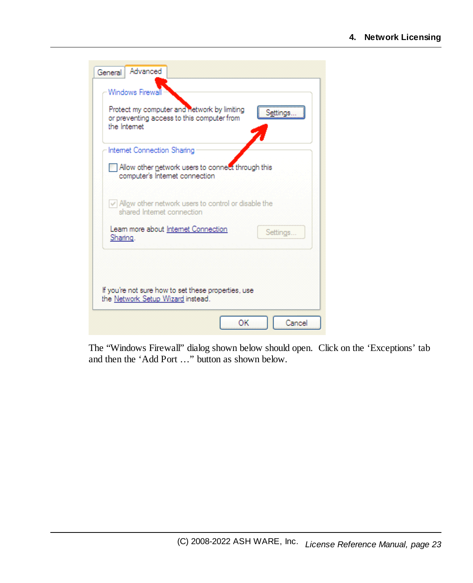| Windows Firewall<br>Protect my computer and network by limiting<br>Settings<br>or preventing access to this computer from<br>the Internet |
|-------------------------------------------------------------------------------------------------------------------------------------------|
| Internet Connection Sharing                                                                                                               |
| Allow other network users to connect through this<br>computer's Internet connection                                                       |
| $\vee$ Allow other network users to control or disable the<br>shared Internet connection                                                  |
| Leam more about Internet Connection<br>Settings<br>Sharing.                                                                               |
| If you're not sure how to set these properties, use<br>the Network Setup Wizard instead.                                                  |

The "Windows Firewall" dialog shown below should open. Click on the 'Exceptions' tab and then the 'Add Port …" button as shown below.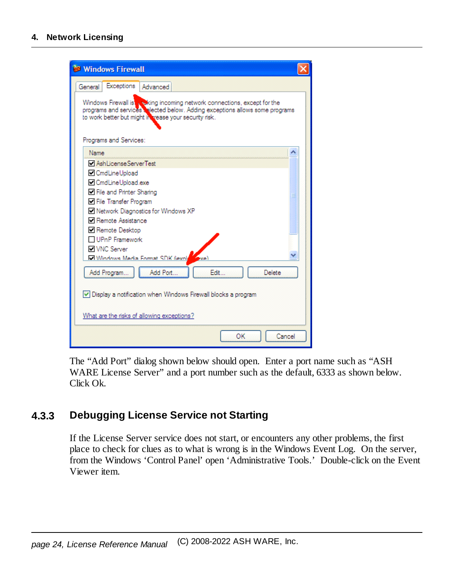#### **4. Network Licensing**

| <b>Windows Firewall</b>                                                                                                                                                                                           |
|-------------------------------------------------------------------------------------------------------------------------------------------------------------------------------------------------------------------|
| Exceptions<br>Advanced<br>General                                                                                                                                                                                 |
| Windows Firewall is wiking incoming network connections, except for the<br>programs and services a lected below. Adding exceptions allows some programs<br>to work better but might in trease your security risk. |
| Programs and Services:                                                                                                                                                                                            |
| <b>Name</b>                                                                                                                                                                                                       |
| AshLicenseServerTest                                                                                                                                                                                              |
| O CmdLineUpload                                                                                                                                                                                                   |
| □ CmdLineUpload.exe                                                                                                                                                                                               |
| □ File and Printer Sharing<br>≣                                                                                                                                                                                   |
| □ File Transfer Program                                                                                                                                                                                           |
| Network Diagnostics for Windows XP                                                                                                                                                                                |
| <b>□</b> Remote Assistance                                                                                                                                                                                        |
| <b>□</b> Remote Desktop                                                                                                                                                                                           |
| □ UPnP Framework                                                                                                                                                                                                  |
| <b>NVNC</b> Server                                                                                                                                                                                                |
| Mindows Media Format SDK fiexold<br>wei                                                                                                                                                                           |
| Add Port<br>Edit<br>Delete<br>Add Program                                                                                                                                                                         |
| Display a notification when Windows Firewall blocks a program                                                                                                                                                     |
| What are the risks of allowing exceptions?                                                                                                                                                                        |
| ОΚ<br>Cancel                                                                                                                                                                                                      |

The "Add Port" dialog shown below should open. Enter a port name such as "ASH WARE License Server" and a port number such as the default, 6333 as shown below. Click Ok.

## <span id="page-23-0"></span>**4.3.3 Debugging License Service not Starting**

If the License Server service does not start, or encounters any other problems, the first place to check for clues as to what is wrong is in the Windows Event Log. On the server, from the Windows 'Control Panel' open 'Administrative Tools.' Double-click on the Event Viewer item.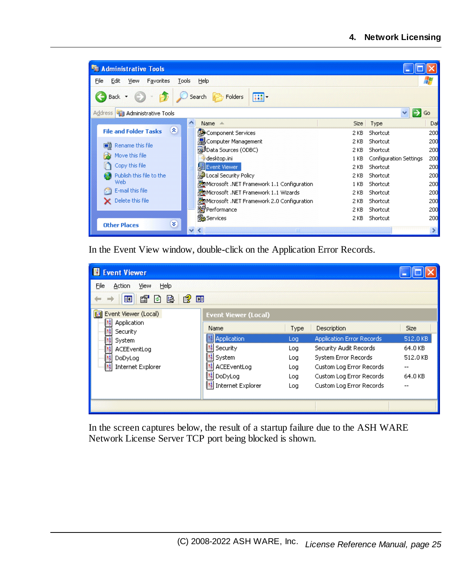| <b>Administrative Tools</b>                               |                                              |                                |               |  |  |  |  |  |
|-----------------------------------------------------------|----------------------------------------------|--------------------------------|---------------|--|--|--|--|--|
| File<br>Edit<br>Favorites<br>Tools<br>Help<br><b>View</b> |                                              |                                |               |  |  |  |  |  |
| <b>P</b> Folders<br>m-<br>Search<br><b>Back</b>           |                                              |                                |               |  |  |  |  |  |
| Address 473 Administrative Tools                          |                                              |                                | Go            |  |  |  |  |  |
| ∧                                                         | Name A                                       | Size Type                      | Dal           |  |  |  |  |  |
| $\mathbf{\hat{x}}$<br><b>File and Folder Tasks</b>        | Component Services                           | Shortcut<br>2 KB               | 200           |  |  |  |  |  |
| <b>n</b> Rename this file                                 | <b>晶</b> Computer Management                 | Shortcut<br>2 KB               | 200           |  |  |  |  |  |
|                                                           | Data Sources (ODBC)                          | Shortcut<br>2 KB               | 200           |  |  |  |  |  |
| Move this file                                            | desktop.ini                                  | Configuration Settings<br>1 KB | 200           |  |  |  |  |  |
| Copy this file                                            | Event Viewer                                 | 2 KB<br>Shortcut               | 200           |  |  |  |  |  |
| Publish this file to the                                  | Local Security Policy                        | Shortcut<br>2 KB               | 200           |  |  |  |  |  |
| Web                                                       | Microsoft .NET Framework 1.1 Configuration   | Shortcut<br>1 <sub>KB</sub>    | 200           |  |  |  |  |  |
| E-mail this file                                          | 图 Microsoft .NET Framework 1.1 Wizards       | 2 KB<br>Shortcut               | 200           |  |  |  |  |  |
| Delete this file                                          | 图 Microsoft .NET Framework 2.0 Configuration | Shortcut<br>2 KB               | 200           |  |  |  |  |  |
|                                                           | <b>S</b> Performance                         | Shortcut<br>2 KB               | 200           |  |  |  |  |  |
|                                                           | Services                                     | Shortcut<br>2 KB               | 200           |  |  |  |  |  |
| ×<br><b>Other Places</b>                                  | $-III$                                       |                                | $\rightarrow$ |  |  |  |  |  |

In the Event View window, double-click on the Application Error Records.

| <b>B</b> Event Viewer                                                 |                             |      |                           |             |  |  |  |  |
|-----------------------------------------------------------------------|-----------------------------|------|---------------------------|-------------|--|--|--|--|
| File<br>Help<br>Action<br><b>View</b><br>廇<br>追<br>圃<br>盯<br>$ \phi $ |                             |      |                           |             |  |  |  |  |
| Event Viewer (Local)                                                  | <b>Event Viewer (Local)</b> |      |                           |             |  |  |  |  |
| Application<br>Security                                               | Name                        | Type | Description               | <b>Size</b> |  |  |  |  |
| System                                                                | Application                 | Log  | Application Error Records | 512.0 KB    |  |  |  |  |
| ACEEventLog                                                           | Security                    | Log  | Security Audit Records    | 64.0 KB     |  |  |  |  |
| DoDyLog                                                               | 關 System                    | Log  | System Error Records      | 512.0 KB    |  |  |  |  |
| Internet Explorer                                                     | ACEEventLog                 | Log  | Custom Log Error Records  | --          |  |  |  |  |
|                                                                       | 關 DoDyLog                   | Log  | Custom Log Error Records  | 64.0 KB     |  |  |  |  |
|                                                                       | 蠿 Internet Explorer         | Log  | Custom Log Error Records  |             |  |  |  |  |
|                                                                       |                             |      |                           |             |  |  |  |  |
|                                                                       |                             |      |                           |             |  |  |  |  |

In the screen captures below, the result of a startup failure due to the ASH WARE Network License Server TCP port being blocked is shown.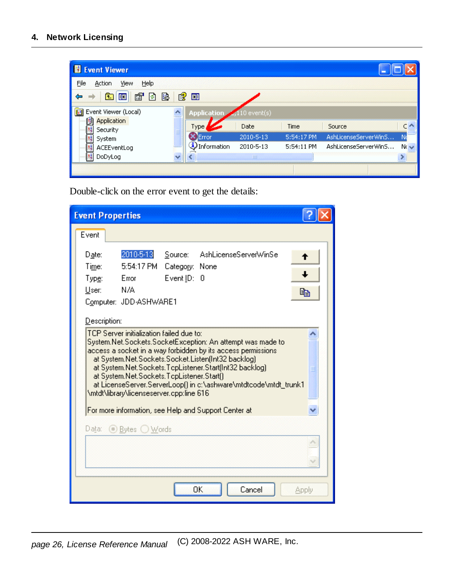| <b>El Event Viewer</b>          |  |             |                     |            |                      |           |  |  |
|---------------------------------|--|-------------|---------------------|------------|----------------------|-----------|--|--|
| File<br>Help<br>View<br>Action  |  |             |                     |            |                      |           |  |  |
| f<br>B<br>图<br>◙<br>圃<br>盯<br>面 |  |             |                     |            |                      |           |  |  |
| Event Viewer (Local)<br>徊       |  | Application | $\sim$ 110 event(s) |            |                      |           |  |  |
| Application<br>B<br>Security    |  | Type,       | Date                | Time       | Source               |           |  |  |
| System<br>₩,                    |  | Error       | 2010-5-13           | 5:54:17 PM | AshLicenseServerWinS | Nd        |  |  |
| ACEEventLog                     |  | Information | 2010-5-13           | 5:54:11 PM | AshLicenseServerWinS | $Nc \sim$ |  |  |
| щ<br>DoDyLog                    |  |             | $\mathbf{m}$        |            |                      |           |  |  |
|                                 |  |             |                     |            |                      |           |  |  |

Double-click on the error event to get the details:

| <b>Event Properties</b>                                                                                                                                                                                                                                                                                                                                                                                                                                                                                                     |         |
|-----------------------------------------------------------------------------------------------------------------------------------------------------------------------------------------------------------------------------------------------------------------------------------------------------------------------------------------------------------------------------------------------------------------------------------------------------------------------------------------------------------------------------|---------|
| Event                                                                                                                                                                                                                                                                                                                                                                                                                                                                                                                       |         |
| 2010-5-13<br>AshLicenseServerWinSe<br>Source:<br>Date:<br>5:54:17 PM<br>Time:<br>Category: None<br>Type:<br>Error<br>Event ID: 0<br>N/A<br>User:<br>Computer: JDD-ASHWARE1                                                                                                                                                                                                                                                                                                                                                  | f<br>eb |
| Description:<br>TCP Server initialization failed due to:<br>System.Net.Sockets.SocketException: An attempt was made to<br>access a socket in a way forbidden by its access permissions<br>at System.Net.Sockets.Socket.Listen(Int32 backlog)<br>at System.Net.Sockets.TcpListener.Start[Int32 backlog]<br>at System.Net.Sockets.TopListener.Start()<br>at LicenseServer.ServerLoop() in c:\ashware\mtdtcode\mtdt_trunk1<br>\mtdt\library\licenseserver.cpp:line 616<br>For more information, see Help and Support Center at |         |
| Data: ● Bytes ● Words                                                                                                                                                                                                                                                                                                                                                                                                                                                                                                       |         |
| OK<br>Cancel                                                                                                                                                                                                                                                                                                                                                                                                                                                                                                                | Apply   |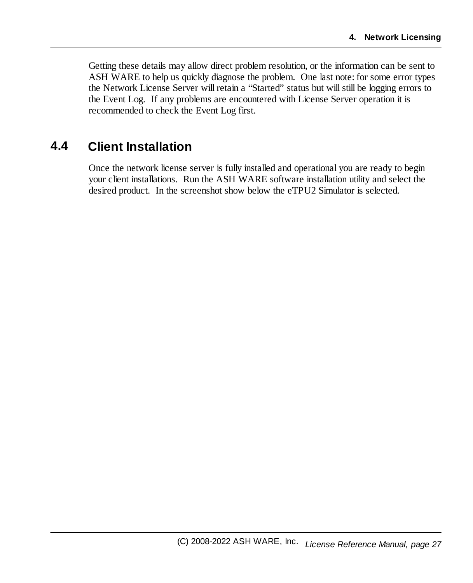Getting these details may allow direct problem resolution, or the information can be sent to ASH WARE to help us quickly diagnose the problem. One last note: for some error types the Network License Server will retain a "Started" status but willstill be logging errors to the Event Log. If any problems are encountered with License Server operation it is recommended to check the Event Log first.

# <span id="page-26-0"></span>**4.4 Client Installation**

Once the network license server is fully installed and operational you are ready to begin your client installations. Run the ASH WARE software installation utility and select the desired product. In the screenshot show below the eTPU2 Simulator is selected.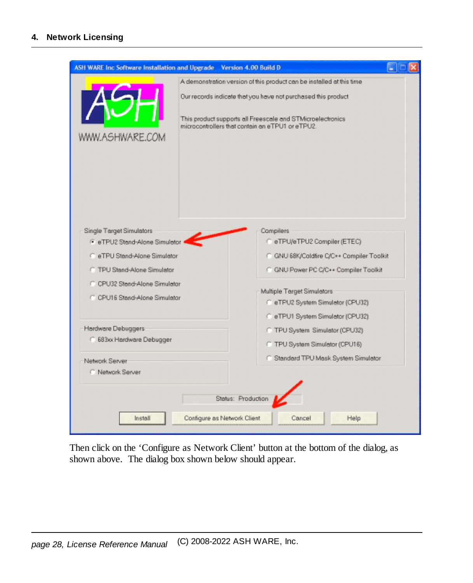| <b>ASH WARE Inc Software Installation and Upgrade</b>                                                                                                                                             | Version 4.00 Build D                                                                                                                                                                                                                                     |  |
|---------------------------------------------------------------------------------------------------------------------------------------------------------------------------------------------------|----------------------------------------------------------------------------------------------------------------------------------------------------------------------------------------------------------------------------------------------------------|--|
| WWW.ASHWARE.COM                                                                                                                                                                                   | A demonstration version of this product can be installed at this time<br>Our records indicate that you have not purchased this product<br>This product supports all Freescale and STMicroelectronics<br>microcontrollers that contain an eTPU1 or eTPU2. |  |
| Single Target Simulators<br>F eTPU2 Stand-Alone Simulator<br>C_eTPU Stand-Alone Simulator<br><b>C</b> TPU Stand-Alone Simulator<br>C CPU32 Stand-Alone Simulator<br>C CPU16 Stand-Alone Simulator | Compilers<br>C eTPU/eTPU2 Compiler (ETEC)<br>C GNU 68K/Coldfire C/C++ Compiler Toolkit<br>C GNU Power PC C/C++ Compiler Toolkit<br>Multiple Terget Simulators<br>C eTPU2 System Simulator (CPU32)<br>C eTPU1 System Simulator (CPU32)                    |  |
| Hardware Debuggers<br>683xx Hardware Debugger<br>Network Server<br>C Network Server                                                                                                               | C TPU System Simulator (CPU32)<br>C TPU System Simulator (CPU16)<br>C Standard TPU Mask System Simulator                                                                                                                                                 |  |
| Install                                                                                                                                                                                           | Status: Production<br>Configure as Network Client<br>Cancel<br>Help                                                                                                                                                                                      |  |

Then click on the 'Configure as Network Client' button at the bottom of the dialog, as shown above. The dialog box shown below should appear.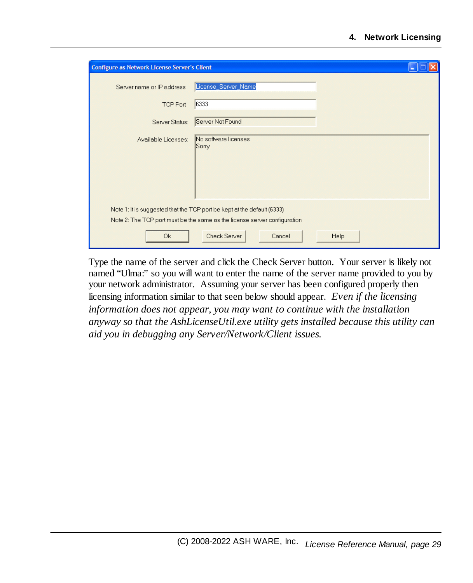| <b>Configure as Network License Server's Client</b> |                                                                                                                                                      |      |
|-----------------------------------------------------|------------------------------------------------------------------------------------------------------------------------------------------------------|------|
| Server name or IP address                           | License_Server_Name                                                                                                                                  |      |
| TCP Port                                            | 6333                                                                                                                                                 |      |
| Server Status:                                      | Server Not Found                                                                                                                                     |      |
| Available Licenses:                                 | No software licenses<br>Sorry                                                                                                                        |      |
|                                                     | Note 1: It is suggested that the TCP port be kept at the default (6333)<br>Note 2: The TCP port must be the same as the license server configuration |      |
| 0k                                                  | Check Server<br>Cancel                                                                                                                               | Help |

Type the name of the server and click the Check Server button. Your server is likely not named "Ulma:" so you will want to enter the name of the server name provided to you by your network administrator. Assuming your server has been configured properly then licensing information similar to that seen below should appear. *Even if the licensing information does not appear, you may want to continue with the installation anyway so that the AshLicenseUtil.exe utility gets installed because this utility can aid you in debugging any Server/Network/Client issues.*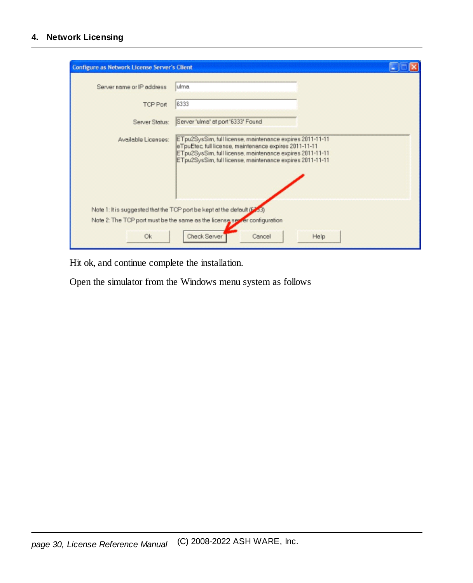#### **4. Network Licensing**

| Configure as Network License Server's Client |                                                                                                                                                                                                                                               |      |
|----------------------------------------------|-----------------------------------------------------------------------------------------------------------------------------------------------------------------------------------------------------------------------------------------------|------|
| Server name or IP address                    | ulma.                                                                                                                                                                                                                                         |      |
| <b>TCP Port</b>                              | 6333                                                                                                                                                                                                                                          |      |
| Server Status:                               | Server 'ulma' at port '6333' Found                                                                                                                                                                                                            |      |
| Available Licenses:                          | ETpu2SysSim, full license, maintenance expires 2011-11-11<br>eTpuEtec, full license, maintenance expires 2011-11-11<br>ETpu2SysSim, full license, maintenance expires 2011-11-11<br>ETpu2SysSim, full license, maintenance expires 2011-11-11 |      |
|                                              | Note 1: It is suggested that the TCP port be kept at the default (6333)                                                                                                                                                                       |      |
|                                              | Note 2: The TCP port must be the same as the license server configuration                                                                                                                                                                     |      |
| 0k                                           | Check Server<br>Cancel                                                                                                                                                                                                                        | Help |

Hit ok, and continue complete the installation.

Open the simulator from the Windows menu system as follows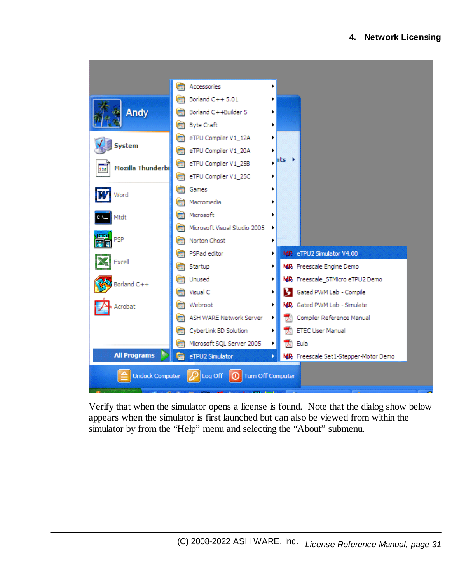

Verify that when the simulator opens a license is found. Note that the dialog show below appears when the simulator is first launched but can also be viewed from within the simulator by from the "Help" menu and selecting the "About" submenu.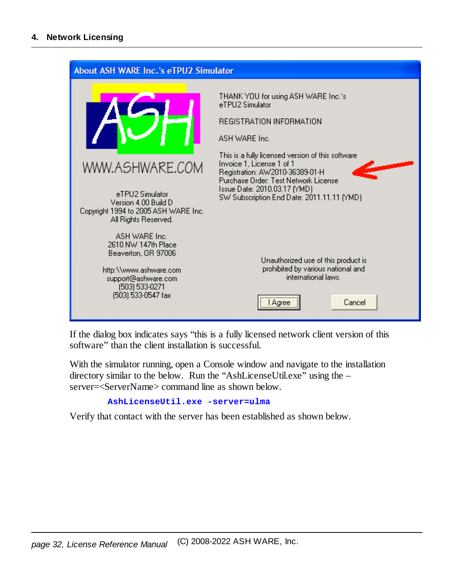

If the dialog box indicates says "this is a fully licensed network client version of this software" than the client installation is successful.

With the simulator running, open a Console window and navigate to the installation directory similar to the below. Run the "AshLicenseUtil.exe" using the – server=<ServerName> command line as shown below.

**AshLicenseUtil.exe -server=ulma**

Verify that contact with the server has been established as shown below.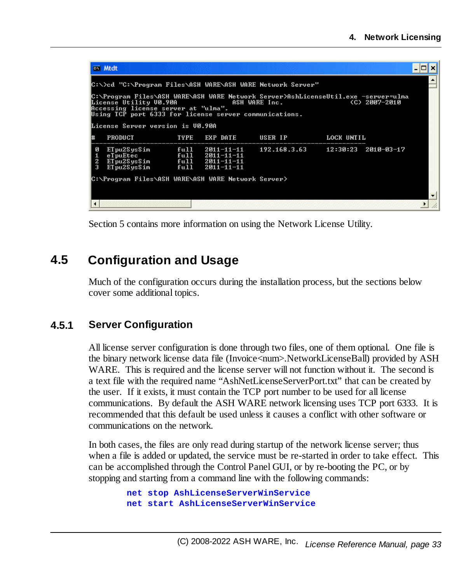|                                                            | <b>ex</b> Mtdt                                                                                                                                                                                                                                                                                               |                      |                                              |                                        |            |  |  |  |  |
|------------------------------------------------------------|--------------------------------------------------------------------------------------------------------------------------------------------------------------------------------------------------------------------------------------------------------------------------------------------------------------|----------------------|----------------------------------------------|----------------------------------------|------------|--|--|--|--|
| C:\>cd "C:\Program Files\ASH WARE\ASH WARE Network Server" |                                                                                                                                                                                                                                                                                                              |                      |                                              |                                        |            |  |  |  |  |
|                                                            | C:\Program Files\ASH WARE\ASH WARE Network Server>AshLicenseUtil.exe -server=ulma<br>License Utility V0.90A<br>ASH WARE Inc.<br>(C) 2007-2010<br>License Utility V0.90A<br>Accessing license server at "ulma".<br>Using TCP port 6333 for license server communications.<br>License Server version is V0.90A |                      |                                              |                                        |            |  |  |  |  |
| l#                                                         | <b>PRODUCT</b>                                                                                                                                                                                                                                                                                               | TYPE                 | EXP DATE                                     | USER IP                                | LOCK UNTIL |  |  |  |  |
| ø<br>1<br>$\frac{2}{3}$                                    | ETpu2SysSim<br>eTpuEtec<br>$E1$ pu2SysSim $fu11$ $2011-11-11$<br>ETwo2SysSim                                                                                                                                                                                                                                 | ful1<br>ful1<br>ful1 | 2011-11-11<br>2011-11-11<br>$2011 - 11 - 11$ | $192.168.3.63$ $12:30:23$ $2010-03-17$ |            |  |  |  |  |
|                                                            | C:\Program Files\ASH WARE\ASH WARE Network Server>                                                                                                                                                                                                                                                           |                      |                                              |                                        |            |  |  |  |  |
| $\blacktriangleleft$                                       |                                                                                                                                                                                                                                                                                                              |                      |                                              |                                        |            |  |  |  |  |

Section 5 contains more information on using the Network License Utility.

# <span id="page-32-0"></span>**4.5 Configuration and Usage**

Much of the configuration occurs during the installation process, but the sections below cover some additional topics.

## <span id="page-32-1"></span>**4.5.1 Server Configuration**

All license server configuration is done through two files, one of them optional. One file is the binary network license data file (Invoice<num>.NetworkLicenseBall) provided by ASH WARE. This is required and the license server will not function without it. The second is a text file with the required name "AshNetLicenseServerPort.txt" that can be created by the user. If it exists, it must contain the TCP port number to be used for all license communications. By default the ASH WARE network licensing uses TCP port 6333. It is recommended that this default be used unless it causes a conflict with other software or communications on the network.

In both cases, the files are only read during startup of the network license server; thus when a file is added or updated, the service must be re-started in order to take effect. This can be accomplished through the Control Panel GUI, or by re-booting the PC, or by stopping and starting from a command line with the following commands:

> **net stop AshLicenseServerWinService net start AshLicenseServerWinService**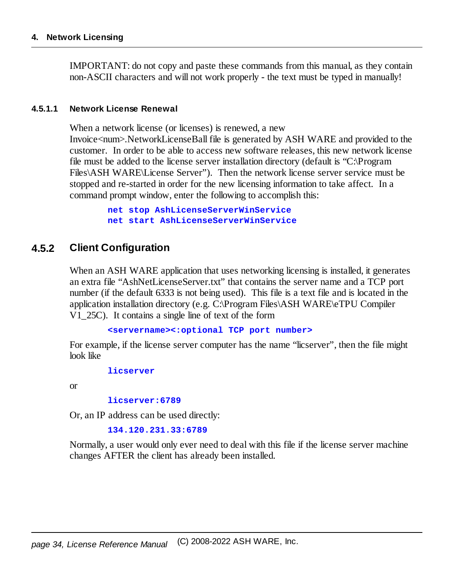#### **4. Network Licensing**

IMPORTANT: do not copy and paste these commands from this manual, as they contain non-ASCII characters and will not work properly - the text must be typed in manually!

#### <span id="page-33-0"></span>**4.5.1.1 Network License Renewal**

When a network license (or licenses) is renewed, a new

Invoice<num>.NetworkLicenseBall file is generated by ASH WARE and provided to the customer. In order to be able to access new software releases, this new network license file must be added to the license server installation directory (default is "C:\Program Files\ASH WARE\License Server"). Then the network license server service must be stopped and re-started in order for the new licensing information to take affect. In a command prompt window, enter the following to accomplish this:

> **net stop AshLicenseServerWinService net start AshLicenseServerWinService**

### <span id="page-33-1"></span>**4.5.2 Client Configuration**

When an ASH WARE application that uses networking licensing is installed, it generates an extra file "AshNetLicenseServer.txt" that contains the server name and a TCP port number (if the default 6333 is not being used). This file is a text file and is located in the application installation directory (e.g. C:\Program Files\ASH WARE\eTPU Compiler V1\_25C). It contains a single line of text of the form

**<servername><:optional TCP port number>**

For example, if the license server computer has the name "licserver", then the file might look like

```
licserver
```
or

**licserver:6789**

Or, an IP address can be used directly:

**134.120.231.33:6789**

Normally, a user would only ever need to deal with this file if the license server machine changes AFTER the client has already been installed.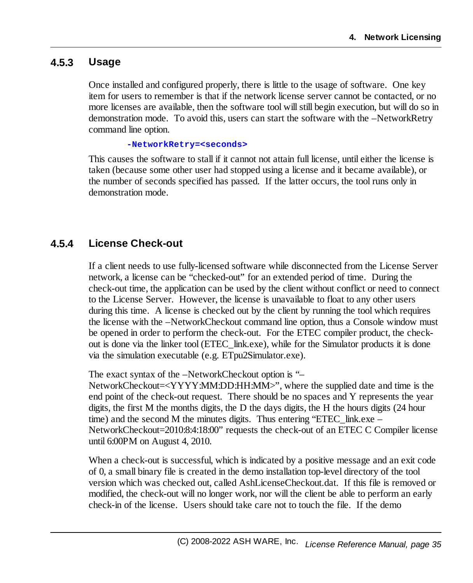## <span id="page-34-0"></span>**4.5.3 Usage**

Once installed and configured properly, there is little to the usage of software. One key item for users to remember is that if the network license server cannot be contacted, or no more licenses are available, then the software tool will still begin execution, but will do so in demonstration mode. To avoid this, users can start the software with the –NetworkRetry command line option.

#### **-NetworkRetry=<seconds>**

This causes the software to stall if it cannot not attain full license, until either the license is taken (because some other user had stopped using a license and it became available), or the number of seconds specified has passed. If the latter occurs, the tool runs only in demonstration mode.

### <span id="page-34-1"></span>**4.5.4 License Check-out**

If a client needs to use fully-licensed software while disconnected from the License Server network, a license can be "checked-out" for an extended period of time. During the check-out time, the application can be used by the client without conflict or need to connect to the License Server. However, the license is unavailable to float to any other users during this time. A license is checked out by the client by running the tool which requires the license with the –NetworkCheckout command line option, thus a Console window must be opened in order to perform the check-out. For the ETEC compiler product, the checkout is done via the linker tool (ETEC\_link.exe), while for the Simulator products it is done via the simulation executable (e.g. ETpu2Simulator.exe).

The exact syntax of the –NetworkCheckout option is "–

NetworkCheckout=<YYYY:MM:DD:HH:MM>", where the supplied date and time is the end point of the check-out request. There should be no spaces and Y represents the year digits, the first M the months digits, the D the days digits, the H the hours digits (24 hour time) and the second M the minutes digits. Thus entering "ETEC\_link.exe – NetworkCheckout=2010:8:4:18:00" requests the check-out of an ETEC C Compiler license until 6:00PM on August 4, 2010.

When a check-out is successful, which is indicated by a positive message and an exit code of 0, a small binary file is created in the demo installation top-level directory of the tool version which was checked out, called AshLicenseCheckout.dat. If this file is removed or modified, the check-out will no longer work, nor will the client be able to perform an early check-in of the license. Users should take care not to touch the file. If the demo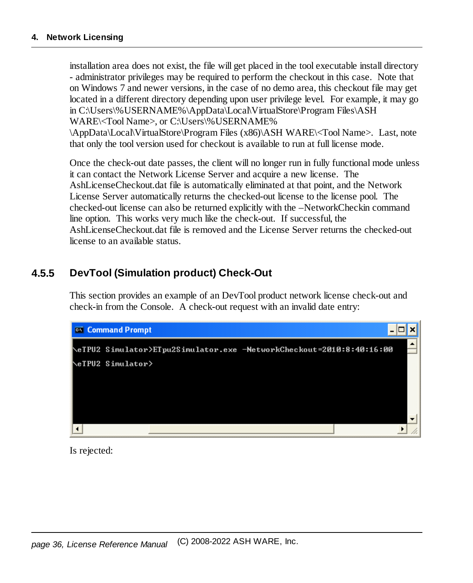installation area does not exist, the file will get placed in the tool executable install directory - administrator privileges may be required to perform the checkout in this case. Note that on Windows 7 and newer versions, in the case of no demo area, this checkout file may get located in a different directory depending upon user privilege level. For example, it may go in C:\Users\%USERNAME%\AppData\Local\VirtualStore\Program Files\ASH WARE\<Tool Name>, or C:\Users\%USERNAME% \AppData\Local\VirtualStore\Program Files (x86)\ASH WARE\<Tool Name>. Last, note that only the tool version used for checkout is available to run at full license mode.

Once the check-out date passes, the client will no longer run in fully functional mode unless it can contact the Network License Server and acquire a new license. The AshLicenseCheckout.dat file is automatically eliminated at that point, and the Network License Server automatically returns the checked-out license to the license pool. The checked-out license can also be returned explicitly with the –NetworkCheckin command line option. This works very much like the check-out. If successful, the AshLicenseCheckout.dat file is removed and the License Server returns the checked-out license to an available status.

## <span id="page-35-0"></span>**4.5.5 DevTool (Simulation product) Check-Out**

This section provides an example of an DevTool product network license check-out and check-in from the Console. A check-out request with an invalid date entry:



Is rejected: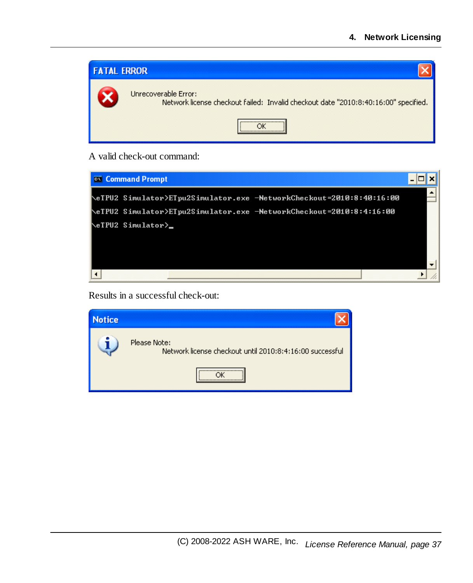| <b>FATAL ERROR</b> |                                                                                                             |
|--------------------|-------------------------------------------------------------------------------------------------------------|
|                    | Unrecoverable Error:<br>Network license checkout failed: Invalid checkout date "2010:8:40:16:00" specified. |
|                    |                                                                                                             |

#### A valid check-out command:



Results in a successful check-out:

| <b>Notice</b> |                                                                          |
|---------------|--------------------------------------------------------------------------|
|               | Please Note:<br>Network license checkout until 2010:8:4:16:00 successful |
|               |                                                                          |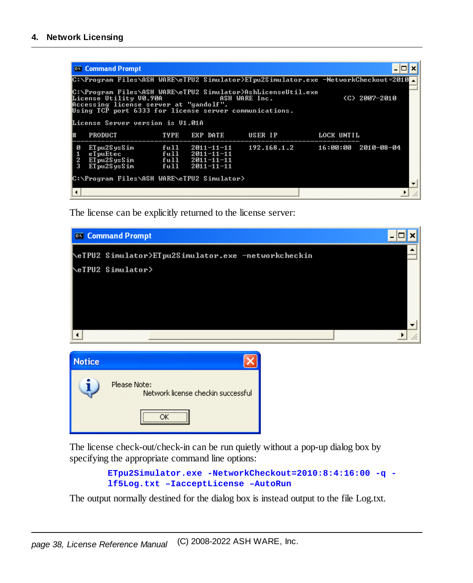|   | <b>Command Prompt</b>                                                                                                                                                                                                                                                                             |             |                                                                    |             |            |                       |
|---|---------------------------------------------------------------------------------------------------------------------------------------------------------------------------------------------------------------------------------------------------------------------------------------------------|-------------|--------------------------------------------------------------------|-------------|------------|-----------------------|
|   | C:\Program_Files\ASH_WARE\eTPU2_Simulator>ETpu2Simulator.exe_-NetworkCheckout=2010⊿                                                                                                                                                                                                               |             |                                                                    |             |            |                       |
|   | C:\Program Files\ASH WARE\eTPU2                                  Simulator>AshLicenseUtil.exe<br>License Utility V0.90A<br>(C) 2007-2010<br>ASH WARE Inc.<br>Accessing license server at "gandolf".<br>Using TCP port 6333 for license server communications.<br>License Server version is U1.01A |             |                                                                    |             |            |                       |
|   |                                                                                                                                                                                                                                                                                                   |             |                                                                    |             |            |                       |
|   | <b>PRODUCT</b>                                                                                                                                                                                                                                                                                    | <b>TYPE</b> | <b>EXP DATE</b>                                                    | USER IP     | LOCK UNTIL |                       |
| 3 | ETpu2SysSim<br>eTpuEtec<br>ETpu2SysSim $fu11$ $2011-11-11$<br>ETpu2SysSim                                                                                                                                                                                                                         | ful1        | full $2011 - 11 - 11$<br>full $2011 - 11 - 11$<br>$2011 - 11 - 11$ | 192.168.1.2 |            | $16:00:00$ 2010-08-04 |
|   | C:\Program Files\ASH WARE\eTPU2 Simulator>                                                                                                                                                                                                                                                        |             |                                                                    |             |            |                       |
|   |                                                                                                                                                                                                                                                                                                   |             |                                                                    |             |            |                       |

The license can be explicitly returned to the license server:



The license check-out/check-in can be run quietly without a pop-up dialog box by specifying the appropriate command line options:

```
ETpu2Simulator.exe -NetworkCheckout=2010:8:4:16:00 -q -
lf5Log.txt –IacceptLicense –AutoRun
```
The output normally destined for the dialog box is instead output to the file Log.txt.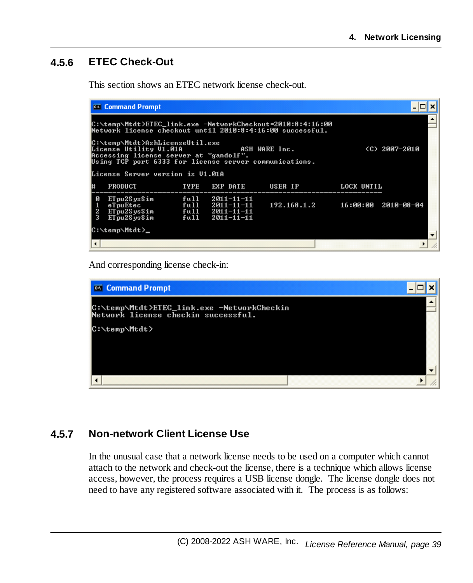# <span id="page-38-0"></span>**4.5.6 ETEC Check-Out**

This section shows an ETEC network license check-out.

|                                                                                                                                                                                                  | <b>ex</b> Command Prompt                                                                                                |                      |                                                         |                                                            |            |               |  |  |
|--------------------------------------------------------------------------------------------------------------------------------------------------------------------------------------------------|-------------------------------------------------------------------------------------------------------------------------|----------------------|---------------------------------------------------------|------------------------------------------------------------|------------|---------------|--|--|
|                                                                                                                                                                                                  | C:\temp\Mtdt>ETEC_link.exe -NetworkCheckout=2010:8:4:16:00<br>Network license checkout until 2010:8:4:16:00 successful. |                      |                                                         |                                                            |            |               |  |  |
| C:\temp\Mtdt>AshLicenseUtil.exe<br><b>Example 20 ASH WARE Inc.</b><br>License Utility V1.01A<br>Accessing license server at "gandolf".<br>Using TCP port 6333 for license server communications. |                                                                                                                         |                      |                                                         |                                                            |            | (C) 2007-2010 |  |  |
|                                                                                                                                                                                                  | License Server version is V1.01A                                                                                        |                      |                                                         |                                                            |            |               |  |  |
| l#                                                                                                                                                                                               | <b>PRODUCT</b>                                                                                                          | TYPE                 | EXP DATE                                                | USER IP                                                    | LOCK UNTIL |               |  |  |
| Ø<br>$\frac{2}{3}$                                                                                                                                                                               | ETpu2SysSim<br>eTpuEtec<br>ETpu2SysSim<br>ETpu2SysSim                                                                   | full<br>ful1<br>ful1 | 2011-11-11<br>full $2011 - 11 - 11$<br>$2011 - 11 - 11$ | $2011 - 11 - 11$ $192.168.1.2$ $16:00:00$ $2010 - 08 - 04$ |            |               |  |  |
|                                                                                                                                                                                                  | C:\temp\Mtdt>_                                                                                                          |                      |                                                         |                                                            |            |               |  |  |
|                                                                                                                                                                                                  |                                                                                                                         |                      |                                                         |                                                            |            |               |  |  |

And corresponding license check-in:

| <b>ex</b> Command Prompt                                                          |  |
|-----------------------------------------------------------------------------------|--|
| C:\temp\Mtdt>ETEC_link.exe -NetworkCheckin<br>Network license checkin successful. |  |
| C:\temp\Mtdt>                                                                     |  |
|                                                                                   |  |
|                                                                                   |  |
|                                                                                   |  |

## <span id="page-38-1"></span>**4.5.7 Non-network Client License Use**

In the unusual case that a network license needs to be used on a computer which cannot attach to the network and check-out the license, there is a technique which allows license access, however, the process requires a USB license dongle. The license dongle does not need to have any registered software associated with it. The process is as follows: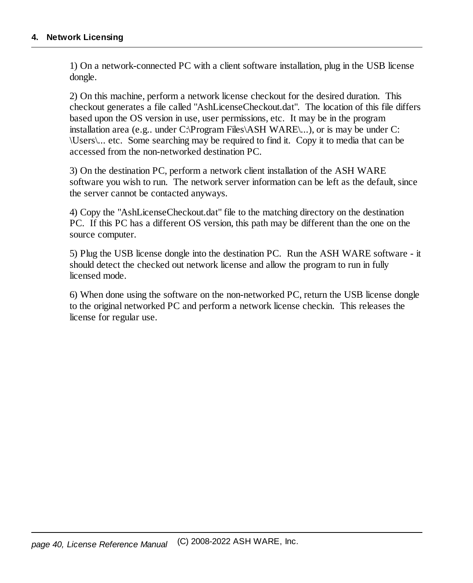1) On a network-connected PC with a client software installation, plug in the USB license dongle.

2) On this machine, perform a network license checkout for the desired duration. This checkout generates a file called "AshLicenseCheckout.dat". The location of this file differs based upon the OS version in use, user permissions, etc. It may be in the program installation area (e.g.. under C: $\text{Program Files}\backslash ASH WARE\ldots$ ), or is may be under C: \Users\... etc. Some searching may be required to find it. Copy it to media that can be accessed from the non-networked destination PC.

3) On the destination PC, perform a network client installation of the ASH WARE software you wish to run. The network server information can be left as the default, since the server cannot be contacted anyways.

4) Copy the "AshLicenseCheckout.dat" file to the matching directory on the destination PC. If this PC has a different OS version, this path may be different than the one on the source computer.

5) Plug the USB license dongle into the destination PC. Run the ASH WARE software - it should detect the checked out network license and allow the program to run in fully licensed mode.

6) When done using the software on the non-networked PC, return the USB license dongle to the original networked PC and perform a network license checkin. This releases the license for regular use.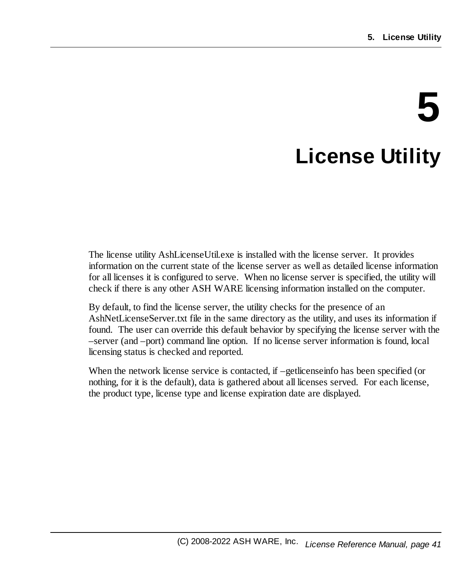# **5 License Utility**

<span id="page-40-0"></span>The license utility AshLicenseUtil.exe is installed with the license server. It provides information on the current state of the license server as well as detailed license information for all licenses it is configured to serve. When no license server is specified, the utility will check if there is any other ASH WARE licensing information installed on the computer.

By default, to find the license server, the utility checks for the presence of an AshNetLicenseServer.txt file in the same directory as the utility, and uses its information if found. The user can override this default behavior by specifying the license server with the –server (and –port) command line option. If no license server information is found, local licensing status is checked and reported.

When the network license service is contacted, if –getlicenseinfo has been specified (or nothing, for it is the default), data is gathered about all licenses served. For each license, the product type, license type and license expiration date are displayed.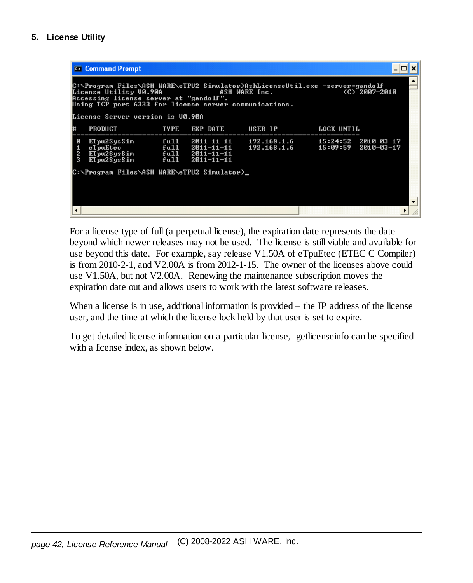|                                                                                                                                                                                                                                              | <b>ex</b> Command Prompt                    |      |                                     |                                                                              |            |  |  |
|----------------------------------------------------------------------------------------------------------------------------------------------------------------------------------------------------------------------------------------------|---------------------------------------------|------|-------------------------------------|------------------------------------------------------------------------------|------------|--|--|
| C:\Program Files\ASH WARE\eTPU2 Simulator>AshLicenseUtil.exe -server=gandolf<br>License Utility V0.90A<br>ASH WARE Inc.<br>(C) 2007-2010<br>Accessing license server at "gandolf".<br>Using TCP port 6333 for license server communications. |                                             |      |                                     |                                                                              |            |  |  |
|                                                                                                                                                                                                                                              | License Server version is V0.90A            |      |                                     |                                                                              |            |  |  |
|                                                                                                                                                                                                                                              | <b>PRODUCT</b><br><b>TYPE</b>               |      | <b>EXP DATE</b>                     | USER IP                                                                      | LOCK UNTIL |  |  |
| Й<br>2<br>3                                                                                                                                                                                                                                  | ETpu2SysSim<br>ETpu2SysSim                  | ful1 | full 2011-11-11<br>$2011 - 11 - 11$ | $192.168.1.6$ $15:24:52$ $2010-03-17$<br>$192.168.1.6$ $15:09:59$ 2010-03-17 |            |  |  |
|                                                                                                                                                                                                                                              | C:\Program Files\ASH WARE\eTPU2 Simulator>_ |      |                                     |                                                                              |            |  |  |
|                                                                                                                                                                                                                                              |                                             |      |                                     |                                                                              |            |  |  |

For a license type of full (a perpetual license), the expiration date represents the date beyond which newer releases may not be used. The license is still viable and available for use beyond this date. For example, say release V1.50A of eTpuEtec (ETEC C Compiler) is from 2010-2-1, and V2.00A is from 2012-1-15. The owner of the licenses above could use V1.50A, but not V2.00A. Renewing the maintenance subscription moves the expiration date out and allows users to work with the latest software releases.

When a license is in use, additional information is provided – the IP address of the license user, and the time at which the license lock held by that user is set to expire.

To get detailed license information on a particular license, -getlicenseinfo can be specified with a license index, as shown below.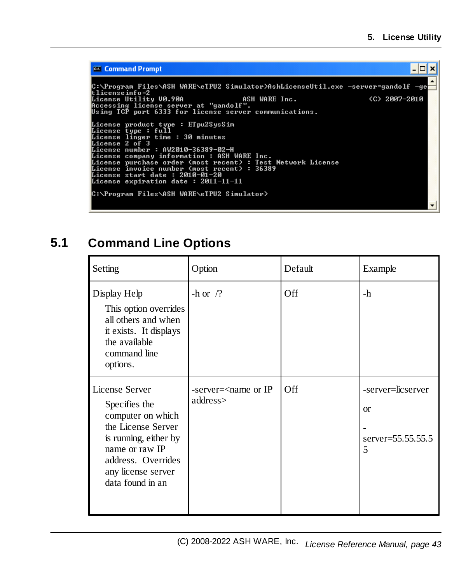```
- \Box \timesCommand Prompt
 C:\Program Files\ASH WARE\eTPU2 Simulator>AshLicenseUtil.exe -server=gandolf -ge
C: \rrugram riles \nsn whic\eiruz simulator/hsimicenseut:<br>tlicense info=2<br>License Utility U0.90A aSH WARE Inc.<br>Accessing license server at "gandolf".<br>Using TCP port 6333 for license server communications.
                                                                                                                                                        (C) 2007-2010
Idense bype: full<br>License type: full<br>License type: full<br>License linger time: 30 minutes<br>License 2 of 3<br>License company information: ASH WARE Inc.<br>License company information: ASH WARE Inc.<br>License company information: ASH 
 C:\Program Files\ASH WARE\eTPU2 Simulator>
```
# <span id="page-42-0"></span>**5.1 Command Line Options**

| Setting                                                                                                                                                                               | Option                                       | Default    | Example                                                      |
|---------------------------------------------------------------------------------------------------------------------------------------------------------------------------------------|----------------------------------------------|------------|--------------------------------------------------------------|
| Display Help<br>This option overrides<br>all others and when<br>it exists. It displays<br>the available<br>command line<br>options.                                                   | -h or $/?$                                   | <b>Off</b> | -h                                                           |
| License Server<br>Specifies the<br>computer on which<br>the License Server<br>is running, either by<br>name or raw IP<br>address. Overrides<br>any license server<br>data found in an | -server= <name ip<br="" or="">address</name> | Off        | -server=licserver<br><sub>or</sub><br>server=55.55.55.5<br>5 |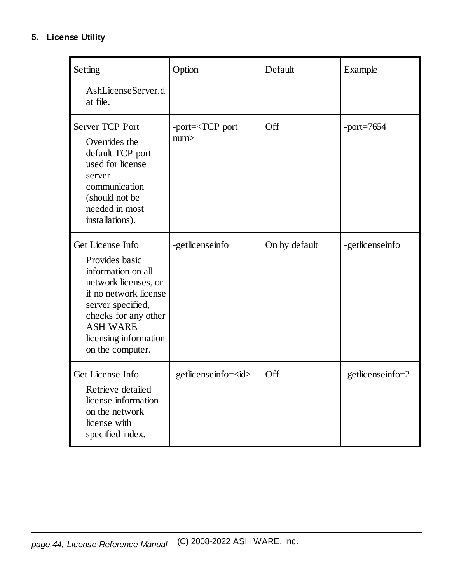### **5. License Utility**

| Setting                                                                                                                                                                                                                | Option                           | Default       | Example           |
|------------------------------------------------------------------------------------------------------------------------------------------------------------------------------------------------------------------------|----------------------------------|---------------|-------------------|
| AshLicenseServer.d<br>at file.                                                                                                                                                                                         |                                  |               |                   |
| <b>Server TCP Port</b><br>Overrides the<br>default TCP port<br>used for license<br>server<br>communication<br>(should not be<br>needed in most<br>installations).                                                      | -port= <tcp port<br="">num</tcp> | Off           | $-port=7654$      |
| Get License Info<br>Provides basic<br>information on all<br>network licenses, or<br>if no network license<br>server specified,<br>checks for any other<br><b>ASH WARE</b><br>licensing information<br>on the computer. | -getlicenseinfo                  | On by default | -getlicenseinfo   |
| Get License Info<br>Retrieve detailed<br>license information<br>on the network<br>license with<br>specified index.                                                                                                     | -getlicenseinfo= <id></id>       | Off           | -getlicenseinfo=2 |